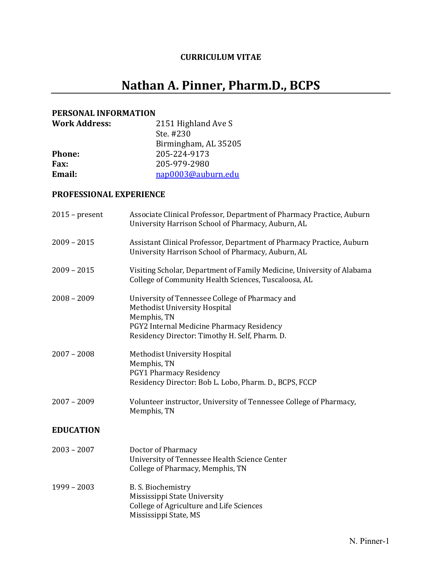# **CURRICULUM VITAE**

# **Nathan A. Pinner, Pharm.D., BCPS**

#### **PERSONAL INFORMATION**

| <b>Work Address:</b> | 2151 Highland Ave S  |
|----------------------|----------------------|
|                      | Ste. #230            |
|                      | Birmingham, AL 35205 |
| <b>Phone:</b>        | 205-224-9173         |
| <b>Fax:</b>          | 205-979-2980         |
| Email:               | nap0003@auburn.edu   |

## **PROFESSIONAL EXPERIENCE**

| $2015$ – present | Associate Clinical Professor, Department of Pharmacy Practice, Auburn<br>University Harrison School of Pharmacy, Auburn, AL                                                                           |
|------------------|-------------------------------------------------------------------------------------------------------------------------------------------------------------------------------------------------------|
| $2009 - 2015$    | Assistant Clinical Professor, Department of Pharmacy Practice, Auburn<br>University Harrison School of Pharmacy, Auburn, AL                                                                           |
| $2009 - 2015$    | Visiting Scholar, Department of Family Medicine, University of Alabama<br>College of Community Health Sciences, Tuscaloosa, AL                                                                        |
| $2008 - 2009$    | University of Tennessee College of Pharmacy and<br><b>Methodist University Hospital</b><br>Memphis, TN<br>PGY2 Internal Medicine Pharmacy Residency<br>Residency Director: Timothy H. Self, Pharm. D. |
| $2007 - 2008$    | <b>Methodist University Hospital</b><br>Memphis, TN<br><b>PGY1 Pharmacy Residency</b><br>Residency Director: Bob L. Lobo, Pharm. D., BCPS, FCCP                                                       |
| $2007 - 2009$    | Volunteer instructor, University of Tennessee College of Pharmacy,<br>Memphis, TN                                                                                                                     |
| <b>EDUCATION</b> |                                                                                                                                                                                                       |
| $2003 - 2007$    | Doctor of Pharmacy<br>University of Tennessee Health Science Center<br>College of Pharmacy, Memphis, TN                                                                                               |
| $1999 - 2003$    | B. S. Biochemistry<br>Mississippi State University<br>College of Agriculture and Life Sciences<br>Mississippi State, MS                                                                               |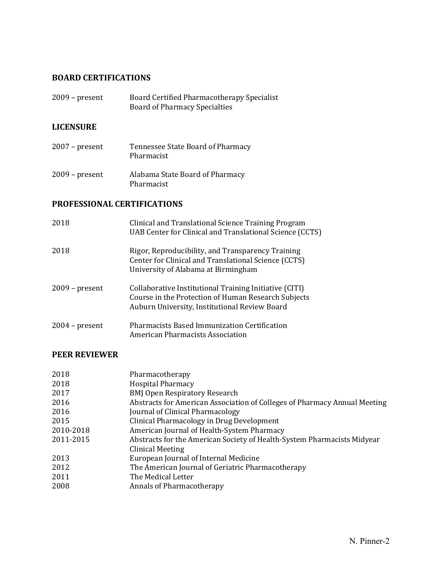# **BOARD CERTIFICATIONS**

| $2009$ – present | Board Certified Pharmacotherapy Specialist |
|------------------|--------------------------------------------|
|                  | <b>Board of Pharmacy Specialties</b>       |

# **LICENSURE**

| $2007$ – present | Tennessee State Board of Pharmacy<br>Pharmacist |
|------------------|-------------------------------------------------|
| $2009$ – present | Alabama State Board of Pharmacy<br>Pharmacist   |

# **PROFESSIONAL CERTIFICATIONS**

| 2018             | Clinical and Translational Science Training Program<br>UAB Center for Clinical and Translational Science (CCTS)                                                |
|------------------|----------------------------------------------------------------------------------------------------------------------------------------------------------------|
| 2018             | Rigor, Reproducibility, and Transparency Training<br>Center for Clinical and Translational Science (CCTS)<br>University of Alabama at Birmingham               |
| $2009$ – present | Collaborative Institutional Training Initiative (CITI)<br>Course in the Protection of Human Research Subjects<br>Auburn University, Institutional Review Board |
| $2004$ – present | <b>Pharmacists Based Immunization Certification</b><br>American Pharmacists Association                                                                        |

#### **PEER REVIEWER**

| 2018      | Pharmacotherapy                                                           |
|-----------|---------------------------------------------------------------------------|
| 2018      | <b>Hospital Pharmacy</b>                                                  |
| 2017      | <b>BMJ Open Respiratory Research</b>                                      |
| 2016      | Abstracts for American Association of Colleges of Pharmacy Annual Meeting |
| 2016      | Journal of Clinical Pharmacology                                          |
| 2015      | Clinical Pharmacology in Drug Development                                 |
| 2010-2018 | American Journal of Health-System Pharmacy                                |
| 2011-2015 | Abstracts for the American Society of Health-System Pharmacists Midyear   |
|           | Clinical Meeting                                                          |
| 2013      | European Journal of Internal Medicine                                     |
| 2012      | The American Journal of Geriatric Pharmacotherapy                         |
| 2011      | The Medical Letter                                                        |
| 2008      | Annals of Pharmacotherapy                                                 |
|           |                                                                           |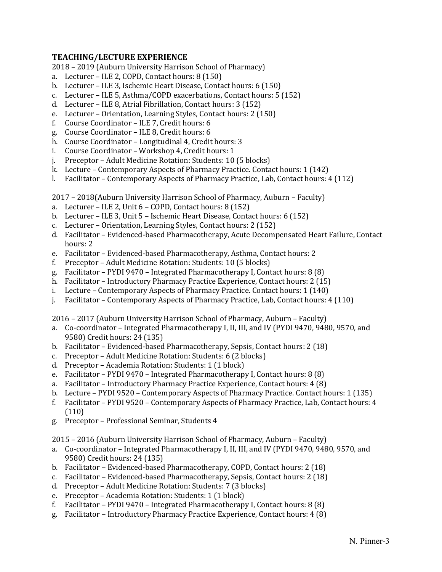#### **TEACHING/LECTURE EXPERIENCE**

2018 – 2019 (Auburn University Harrison School of Pharmacy)

- a. Lecturer ILE 2, COPD, Contact hours: 8 (150)
- b. Lecturer ILE 3, Ischemic Heart Disease, Contact hours: 6 (150)
- c. Lecturer ILE 5, Asthma/COPD exacerbations, Contact hours: 5 (152)
- d. Lecturer ILE 8, Atrial Fibrillation, Contact hours: 3 (152)
- e. Lecturer Orientation, Learning Styles, Contact hours: 2 (150)
- f. Course Coordinator ILE 7, Credit hours: 6
- g. Course Coordinator ILE 8, Credit hours: 6
- h. Course Coordinator Longitudinal 4, Credit hours: 3
- i. Course Coordinator Workshop 4, Credit hours: 1
- j. Preceptor Adult Medicine Rotation: Students: 10 (5 blocks)
- k. Lecture Contemporary Aspects of Pharmacy Practice. Contact hours: 1 (142)
- l. Facilitator Contemporary Aspects of Pharmacy Practice, Lab, Contact hours: 4 (112)

2017 – 2018(Auburn University Harrison School of Pharmacy, Auburn – Faculty)

- a. Lecturer ILE 2, Unit 6 COPD, Contact hours: 8 (152)
- b. Lecturer ILE 3, Unit 5 Ischemic Heart Disease, Contact hours: 6 (152)
- c. Lecturer Orientation, Learning Styles, Contact hours: 2 (152)
- d. Facilitator Evidenced-based Pharmacotherapy, Acute Decompensated Heart Failure, Contact hours: 2
- e. Facilitator Evidenced-based Pharmacotherapy, Asthma, Contact hours: 2
- f. Preceptor Adult Medicine Rotation: Students: 10 (5 blocks)
- g. Facilitator PYDI 9470 Integrated Pharmacotherapy I, Contact hours: 8 (8)
- h. Facilitator Introductory Pharmacy Practice Experience, Contact hours: 2 (15)
- i. Lecture Contemporary Aspects of Pharmacy Practice. Contact hours: 1 (140)
- j. Facilitator Contemporary Aspects of Pharmacy Practice, Lab, Contact hours: 4 (110)

2016 – 2017 (Auburn University Harrison School of Pharmacy, Auburn – Faculty)

- a. Co-coordinator Integrated Pharmacotherapy I, II, III, and IV (PYDI 9470, 9480, 9570, and 9580) Credit hours: 24 (135)
- b. Facilitator Evidenced-based Pharmacotherapy, Sepsis, Contact hours: 2 (18)
- c. Preceptor Adult Medicine Rotation: Students: 6 (2 blocks)
- d. Preceptor Academia Rotation: Students: 1 (1 block)
- e. Facilitator PYDI 9470 Integrated Pharmacotherapy I, Contact hours: 8 (8)
- a. Facilitator Introductory Pharmacy Practice Experience, Contact hours: 4 (8)
- b. Lecture PYDI 9520 Contemporary Aspects of Pharmacy Practice. Contact hours: 1 (135)
- f. Facilitator PYDI 9520 Contemporary Aspects of Pharmacy Practice, Lab, Contact hours: 4 (110)
- g. Preceptor Professional Seminar, Students 4

2015 – 2016 (Auburn University Harrison School of Pharmacy, Auburn – Faculty)

- a. Co-coordinator Integrated Pharmacotherapy I, II, III, and IV (PYDI 9470, 9480, 9570, and 9580) Credit hours: 24 (135)
- b. Facilitator Evidenced-based Pharmacotherapy, COPD, Contact hours: 2 (18)
- c. Facilitator Evidenced-based Pharmacotherapy, Sepsis, Contact hours: 2 (18)
- d. Preceptor Adult Medicine Rotation: Students: 7 (3 blocks)
- e. Preceptor Academia Rotation: Students: 1 (1 block)
- f. Facilitator PYDI 9470 Integrated Pharmacotherapy I, Contact hours: 8 (8)
- g. Facilitator Introductory Pharmacy Practice Experience, Contact hours: 4 (8)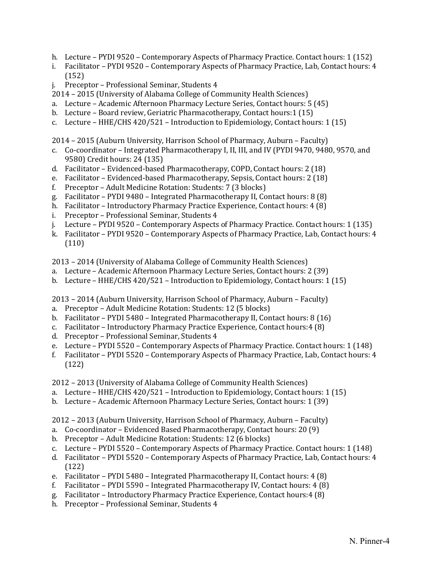- h. Lecture PYDI 9520 Contemporary Aspects of Pharmacy Practice. Contact hours: 1 (152)
- i. Facilitator PYDI 9520 Contemporary Aspects of Pharmacy Practice, Lab, Contact hours: 4 (152)
- j. Preceptor Professional Seminar, Students 4
- 2014 2015 (University of Alabama College of Community Health Sciences)
- a. Lecture Academic Afternoon Pharmacy Lecture Series, Contact hours: 5 (45)
- b. Lecture Board review, Geriatric Pharmacotherapy, Contact hours:1 (15)
- c. Lecture HHE/CHS 420/521 Introduction to Epidemiology, Contact hours: 1 (15)
- 2014 2015 (Auburn University, Harrison School of Pharmacy, Auburn Faculty)
- c. Co-coordinator Integrated Pharmacotherapy I, II, III, and IV (PYDI 9470, 9480, 9570, and 9580) Credit hours: 24 (135)
- d. Facilitator Evidenced-based Pharmacotherapy, COPD, Contact hours: 2 (18)
- e. Facilitator Evidenced-based Pharmacotherapy, Sepsis, Contact hours: 2 (18)
- f. Preceptor Adult Medicine Rotation: Students: 7 (3 blocks)
- g. Facilitator PYDI 9480 Integrated Pharmacotherapy II, Contact hours: 8 (8)
- h. Facilitator Introductory Pharmacy Practice Experience, Contact hours: 4 (8)
- i. Preceptor Professional Seminar, Students 4
- j. Lecture PYDI 9520 Contemporary Aspects of Pharmacy Practice. Contact hours: 1 (135)
- k. Facilitator PYDI 9520 Contemporary Aspects of Pharmacy Practice, Lab, Contact hours: 4 (110)

2013 – 2014 (University of Alabama College of Community Health Sciences)

- a. Lecture Academic Afternoon Pharmacy Lecture Series, Contact hours: 2 (39)
- b. Lecture HHE/CHS 420/521 Introduction to Epidemiology, Contact hours: 1 (15)

2013 – 2014 (Auburn University, Harrison School of Pharmacy, Auburn – Faculty)

- a. Preceptor Adult Medicine Rotation: Students: 12 (5 blocks)
- b. Facilitator PYDI 5480 Integrated Pharmacotherapy II, Contact hours: 8 (16)
- c. Facilitator Introductory Pharmacy Practice Experience, Contact hours:4 (8)
- d. Preceptor Professional Seminar, Students 4
- e. Lecture PYDI 5520 Contemporary Aspects of Pharmacy Practice. Contact hours: 1 (148)
- f. Facilitator PYDI 5520 Contemporary Aspects of Pharmacy Practice, Lab, Contact hours: 4 (122)

2012 – 2013 (University of Alabama College of Community Health Sciences)

- a. Lecture HHE/CHS 420/521 Introduction to Epidemiology, Contact hours: 1 (15)
- b. Lecture Academic Afternoon Pharmacy Lecture Series, Contact hours: 1 (39)

2012 – 2013 (Auburn University, Harrison School of Pharmacy, Auburn – Faculty)

- a. Co-coordinator Evidenced Based Pharmacotherapy, Contact hours: 20 (9)
- b. Preceptor Adult Medicine Rotation: Students: 12 (6 blocks)
- c. Lecture PYDI 5520 Contemporary Aspects of Pharmacy Practice. Contact hours: 1 (148)
- d. Facilitator PYDI 5520 Contemporary Aspects of Pharmacy Practice, Lab, Contact hours: 4 (122)
- e. Facilitator PYDI 5480 Integrated Pharmacotherapy II, Contact hours: 4 (8)
- f. Facilitator PYDI 5590 Integrated Pharmacotherapy IV, Contact hours: 4 (8)
- g. Facilitator Introductory Pharmacy Practice Experience, Contact hours:4 (8)
- h. Preceptor Professional Seminar, Students 4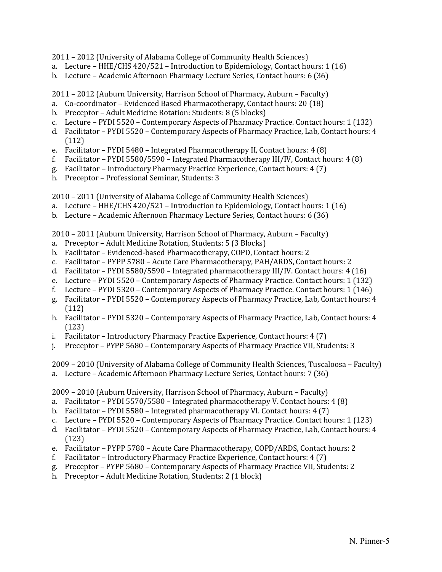2011 – 2012 (University of Alabama College of Community Health Sciences)

- a. Lecture HHE/CHS 420/521 Introduction to Epidemiology, Contact hours: 1 (16)
- b. Lecture Academic Afternoon Pharmacy Lecture Series, Contact hours: 6 (36)

2011 – 2012 (Auburn University, Harrison School of Pharmacy, Auburn – Faculty)

- a. Co-coordinator Evidenced Based Pharmacotherapy, Contact hours: 20 (18)
- b. Preceptor Adult Medicine Rotation: Students: 8 (5 blocks)
- c. Lecture PYDI 5520 Contemporary Aspects of Pharmacy Practice. Contact hours: 1 (132)
- d. Facilitator PYDI 5520 Contemporary Aspects of Pharmacy Practice, Lab, Contact hours: 4 (112)
- e. Facilitator PYDI 5480 Integrated Pharmacotherapy II, Contact hours: 4 (8)
- f. Facilitator PYDI 5580/5590 Integrated Pharmacotherapy III/IV, Contact hours: 4 (8)
- g. Facilitator Introductory Pharmacy Practice Experience, Contact hours: 4 (7)
- h. Preceptor Professional Seminar, Students: 3

2010 – 2011 (University of Alabama College of Community Health Sciences)

- a. Lecture HHE/CHS 420/521 Introduction to Epidemiology, Contact hours: 1 (16)
- b. Lecture Academic Afternoon Pharmacy Lecture Series, Contact hours: 6 (36)

2010 – 2011 (Auburn University, Harrison School of Pharmacy, Auburn – Faculty)

- a. Preceptor Adult Medicine Rotation, Students: 5 (3 Blocks)
- b. Facilitator Evidenced-based Pharmacotherapy, COPD, Contact hours: 2
- c. Facilitator PYPP 5780 Acute Care Pharmacotherapy, PAH/ARDS, Contact hours: 2
- d. Facilitator PYDI 5580/5590 Integrated pharmacotherapy III/IV. Contact hours: 4 (16)
- e. Lecture PYDI 5520 Contemporary Aspects of Pharmacy Practice. Contact hours: 1 (132)
- f. Lecture PYDI 5320 Contemporary Aspects of Pharmacy Practice. Contact hours: 1 (146)
- g. Facilitator PYDI 5520 Contemporary Aspects of Pharmacy Practice, Lab, Contact hours: 4 (112)
- h. Facilitator PYDI 5320 Contemporary Aspects of Pharmacy Practice, Lab, Contact hours: 4 (123)
- i. Facilitator Introductory Pharmacy Practice Experience, Contact hours: 4 (7)
- j. Preceptor PYPP 5680 Contemporary Aspects of Pharmacy Practice VII, Students: 3

#### 2009 – 2010 (University of Alabama College of Community Health Sciences, Tuscaloosa – Faculty)

a. Lecture – Academic Afternoon Pharmacy Lecture Series, Contact hours: 7 (36)

2009 – 2010 (Auburn University, Harrison School of Pharmacy, Auburn – Faculty)

- a. Facilitator PYDI 5570/5580 Integrated pharmacotherapy V. Contact hours: 4 (8)
- b. Facilitator PYDI 5580 Integrated pharmacotherapy VI. Contact hours: 4 (7)
- c. Lecture PYDI 5520 Contemporary Aspects of Pharmacy Practice. Contact hours: 1 (123)
- d. Facilitator PYDI 5520 Contemporary Aspects of Pharmacy Practice, Lab, Contact hours: 4 (123)
- e. Facilitator PYPP 5780 Acute Care Pharmacotherapy, COPD/ARDS, Contact hours: 2
- f. Facilitator Introductory Pharmacy Practice Experience, Contact hours: 4 (7)
- g. Preceptor PYPP 5680 Contemporary Aspects of Pharmacy Practice VII, Students: 2
- h. Preceptor Adult Medicine Rotation, Students: 2 (1 block)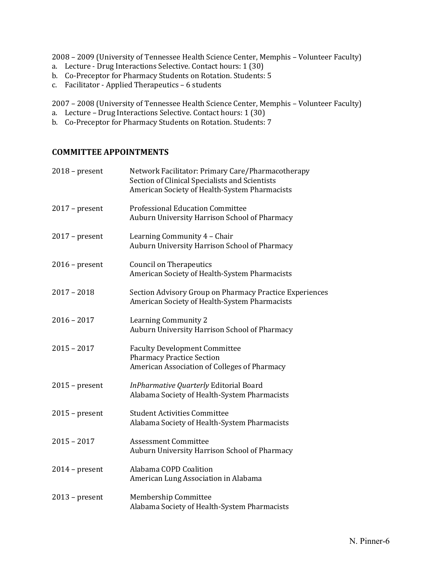2008 – 2009 (University of Tennessee Health Science Center, Memphis – Volunteer Faculty)

- a. Lecture Drug Interactions Selective. Contact hours: 1 (30)
- b. Co-Preceptor for Pharmacy Students on Rotation. Students: 5
- c. Facilitator Applied Therapeutics 6 students

2007 – 2008 (University of Tennessee Health Science Center, Memphis – Volunteer Faculty)

- a. Lecture Drug Interactions Selective. Contact hours: 1 (30)
- b. Co-Preceptor for Pharmacy Students on Rotation. Students: 7

## **COMMITTEE APPOINTMENTS**

| $2018$ – present | Network Facilitator: Primary Care/Pharmacotherapy<br>Section of Clinical Specialists and Scientists<br>American Society of Health-System Pharmacists |
|------------------|------------------------------------------------------------------------------------------------------------------------------------------------------|
| $2017$ – present | <b>Professional Education Committee</b><br>Auburn University Harrison School of Pharmacy                                                             |
| $2017$ – present | Learning Community 4 - Chair<br>Auburn University Harrison School of Pharmacy                                                                        |
| $2016$ – present | <b>Council on Therapeutics</b><br>American Society of Health-System Pharmacists                                                                      |
| $2017 - 2018$    | Section Advisory Group on Pharmacy Practice Experiences<br>American Society of Health-System Pharmacists                                             |
| $2016 - 2017$    | Learning Community 2<br>Auburn University Harrison School of Pharmacy                                                                                |
| $2015 - 2017$    | <b>Faculty Development Committee</b><br><b>Pharmacy Practice Section</b><br>American Association of Colleges of Pharmacy                             |
| $2015$ – present | InPharmative Quarterly Editorial Board<br>Alabama Society of Health-System Pharmacists                                                               |
| $2015$ – present | <b>Student Activities Committee</b><br>Alabama Society of Health-System Pharmacists                                                                  |
| $2015 - 2017$    | <b>Assessment Committee</b><br>Auburn University Harrison School of Pharmacy                                                                         |
| $2014$ – present | Alabama COPD Coalition<br>American Lung Association in Alabama                                                                                       |
| $2013$ – present | Membership Committee<br>Alabama Society of Health-System Pharmacists                                                                                 |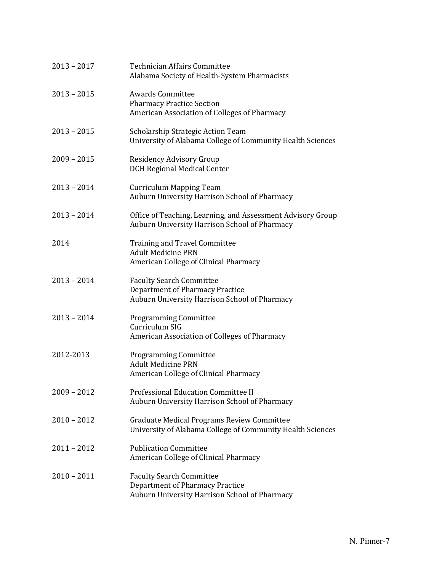| $2013 - 2017$ | <b>Technician Affairs Committee</b><br>Alabama Society of Health-System Pharmacists                                        |
|---------------|----------------------------------------------------------------------------------------------------------------------------|
| $2013 - 2015$ | <b>Awards Committee</b><br><b>Pharmacy Practice Section</b><br>American Association of Colleges of Pharmacy                |
| $2013 - 2015$ | Scholarship Strategic Action Team<br>University of Alabama College of Community Health Sciences                            |
| $2009 - 2015$ | Residency Advisory Group<br><b>DCH Regional Medical Center</b>                                                             |
| $2013 - 2014$ | <b>Curriculum Mapping Team</b><br>Auburn University Harrison School of Pharmacy                                            |
| $2013 - 2014$ | Office of Teaching, Learning, and Assessment Advisory Group<br>Auburn University Harrison School of Pharmacy               |
| 2014          | <b>Training and Travel Committee</b><br><b>Adult Medicine PRN</b><br>American College of Clinical Pharmacy                 |
| $2013 - 2014$ | <b>Faculty Search Committee</b><br>Department of Pharmacy Practice<br>Auburn University Harrison School of Pharmacy        |
| $2013 - 2014$ | <b>Programming Committee</b><br>Curriculum SIG<br>American Association of Colleges of Pharmacy                             |
| 2012-2013     | <b>Programming Committee</b><br><b>Adult Medicine PRN</b><br>American College of Clinical Pharmacy                         |
| $2009 - 2012$ | Professional Education Committee II<br>Auburn University Harrison School of Pharmacy                                       |
| $2010 - 2012$ | Graduate Medical Programs Review Committee<br>University of Alabama College of Community Health Sciences                   |
| $2011 - 2012$ | <b>Publication Committee</b><br>American College of Clinical Pharmacy                                                      |
| $2010 - 2011$ | <b>Faculty Search Committee</b><br><b>Department of Pharmacy Practice</b><br>Auburn University Harrison School of Pharmacy |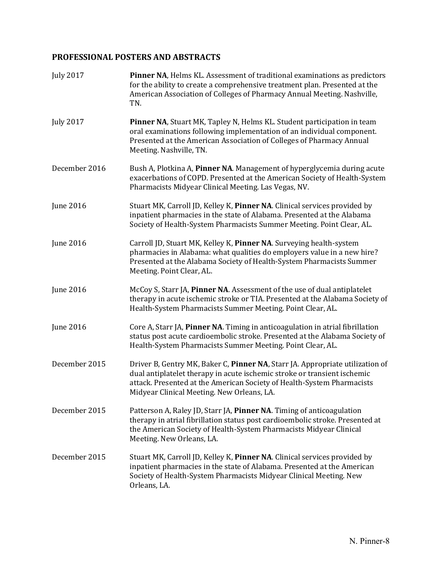# **PROFESSIONAL POSTERS AND ABSTRACTS**

| <b>July 2017</b> | <b>Pinner NA, Helms KL. Assessment of traditional examinations as predictors</b><br>for the ability to create a comprehensive treatment plan. Presented at the<br>American Association of Colleges of Pharmacy Annual Meeting. Nashville,<br>TN.                                  |
|------------------|-----------------------------------------------------------------------------------------------------------------------------------------------------------------------------------------------------------------------------------------------------------------------------------|
| <b>July 2017</b> | Pinner NA, Stuart MK, Tapley N, Helms KL. Student participation in team<br>oral examinations following implementation of an individual component.<br>Presented at the American Association of Colleges of Pharmacy Annual<br>Meeting. Nashville, TN.                              |
| December 2016    | Bush A, Plotkina A, Pinner NA. Management of hyperglycemia during acute<br>exacerbations of COPD. Presented at the American Society of Health-System<br>Pharmacists Midyear Clinical Meeting. Las Vegas, NV.                                                                      |
| <b>June 2016</b> | Stuart MK, Carroll JD, Kelley K, Pinner NA. Clinical services provided by<br>inpatient pharmacies in the state of Alabama. Presented at the Alabama<br>Society of Health-System Pharmacists Summer Meeting. Point Clear, AL.                                                      |
| <b>June 2016</b> | Carroll JD, Stuart MK, Kelley K, Pinner NA. Surveying health-system<br>pharmacies in Alabama: what qualities do employers value in a new hire?<br>Presented at the Alabama Society of Health-System Pharmacists Summer<br>Meeting. Point Clear, AL.                               |
| <b>June 2016</b> | McCoy S, Starr JA, Pinner NA. Assessment of the use of dual antiplatelet<br>therapy in acute ischemic stroke or TIA. Presented at the Alabama Society of<br>Health-System Pharmacists Summer Meeting. Point Clear, AL.                                                            |
| <b>June 2016</b> | Core A, Starr JA, Pinner NA. Timing in anticoagulation in atrial fibrillation<br>status post acute cardioembolic stroke. Presented at the Alabama Society of<br>Health-System Pharmacists Summer Meeting. Point Clear, AL.                                                        |
| December 2015    | Driver B, Gentry MK, Baker C, Pinner NA, Starr JA. Appropriate utilization of<br>dual antiplatelet therapy in acute ischemic stroke or transient ischemic<br>attack. Presented at the American Society of Health-System Pharmacists<br>Midyear Clinical Meeting. New Orleans, LA. |
| December 2015    | Patterson A, Raley JD, Starr JA, Pinner NA. Timing of anticoagulation<br>therapy in atrial fibrillation status post cardioembolic stroke. Presented at<br>the American Society of Health-System Pharmacists Midyear Clinical<br>Meeting. New Orleans, LA.                         |
| December 2015    | Stuart MK, Carroll JD, Kelley K, Pinner NA. Clinical services provided by<br>inpatient pharmacies in the state of Alabama. Presented at the American<br>Society of Health-System Pharmacists Midyear Clinical Meeting. New<br>Orleans, LA.                                        |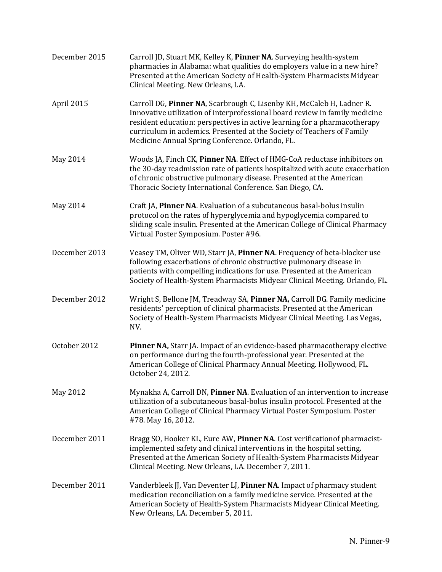| December 2015 | Carroll JD, Stuart MK, Kelley K, Pinner NA. Surveying health-system<br>pharmacies in Alabama: what qualities do employers value in a new hire?<br>Presented at the American Society of Health-System Pharmacists Midyear<br>Clinical Meeting. New Orleans, LA.                                                                                                 |
|---------------|----------------------------------------------------------------------------------------------------------------------------------------------------------------------------------------------------------------------------------------------------------------------------------------------------------------------------------------------------------------|
| April 2015    | Carroll DG, Pinner NA, Scarbrough C, Lisenby KH, McCaleb H, Ladner R.<br>Innovative utilization of interprofessional board review in family medicine<br>resident education: perspectives in active learning for a pharmacotherapy<br>curriculum in acdemics. Presented at the Society of Teachers of Family<br>Medicine Annual Spring Conference. Orlando, FL. |
| May 2014      | Woods JA, Finch CK, Pinner NA. Effect of HMG-CoA reductase inhibitors on<br>the 30-day readmission rate of patients hospitalized with acute exacerbation<br>of chronic obstructive pulmonary disease. Presented at the American<br>Thoracic Society International Conference. San Diego, CA.                                                                   |
| May 2014      | Craft JA, Pinner NA. Evaluation of a subcutaneous basal-bolus insulin<br>protocol on the rates of hyperglycemia and hypoglycemia compared to<br>sliding scale insulin. Presented at the American College of Clinical Pharmacy<br>Virtual Poster Symposium. Poster #96.                                                                                         |
| December 2013 | Veasey TM, Oliver WD, Starr JA, Pinner NA. Frequency of beta-blocker use<br>following exacerbations of chronic obstructive pulmonary disease in<br>patients with compelling indications for use. Presented at the American<br>Society of Health-System Pharmacists Midyear Clinical Meeting. Orlando, FL.                                                      |
| December 2012 | Wright S, Bellone JM, Treadway SA, Pinner NA, Carroll DG. Family medicine<br>residents' perception of clinical pharmacists. Presented at the American<br>Society of Health-System Pharmacists Midyear Clinical Meeting. Las Vegas,<br>NV.                                                                                                                      |
| October 2012  | Pinner NA, Starr JA. Impact of an evidence-based pharmacotherapy elective<br>on performance during the fourth-professional year. Presented at the<br>American College of Clinical Pharmacy Annual Meeting. Hollywood, FL.<br>October 24, 2012.                                                                                                                 |
| May 2012      | Mynakha A, Carroll DN, Pinner NA. Evaluation of an intervention to increase<br>utilization of a subcutaneous basal-bolus insulin protocol. Presented at the<br>American College of Clinical Pharmacy Virtual Poster Symposium. Poster<br>#78. May 16, 2012.                                                                                                    |
| December 2011 | Bragg SO, Hooker KL, Eure AW, Pinner NA. Cost verification of pharmacist-<br>implemented safety and clinical interventions in the hospital setting.<br>Presented at the American Society of Health-System Pharmacists Midyear<br>Clinical Meeting. New Orleans, LA. December 7, 2011.                                                                          |
| December 2011 | Vanderbleek JJ, Van Deventer LJ, Pinner NA. Impact of pharmacy student<br>medication reconciliation on a family medicine service. Presented at the<br>American Society of Health-System Pharmacists Midyear Clinical Meeting.<br>New Orleans, LA. December 5, 2011.                                                                                            |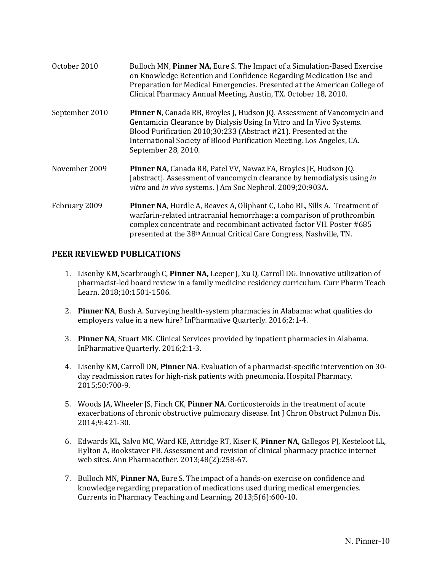| October 2010   | Bulloch MN, Pinner NA, Eure S. The Impact of a Simulation-Based Exercise<br>on Knowledge Retention and Confidence Regarding Medication Use and<br>Preparation for Medical Emergencies. Presented at the American College of<br>Clinical Pharmacy Annual Meeting, Austin, TX. October 18, 2010.                            |
|----------------|---------------------------------------------------------------------------------------------------------------------------------------------------------------------------------------------------------------------------------------------------------------------------------------------------------------------------|
| September 2010 | <b>Pinner N, Canada RB, Broyles J, Hudson JQ. Assessment of Vancomycin and</b><br>Gentamicin Clearance by Dialysis Using In Vitro and In Vivo Systems.<br>Blood Purification 2010;30:233 (Abstract #21). Presented at the<br>International Society of Blood Purification Meeting. Los Angeles, CA.<br>September 28, 2010. |
| November 2009  | Pinner NA, Canada RB, Patel VV, Nawaz FA, Broyles JE, Hudson JQ.<br>[abstract]. Assessment of vancomycin clearance by hemodialysis using in<br>vitro and in vivo systems. J Am Soc Nephrol. 2009;20:903A.                                                                                                                 |
| February 2009  | Pinner NA, Hurdle A, Reaves A, Oliphant C, Lobo BL, Sills A. Treatment of<br>warfarin-related intracranial hemorrhage: a comparison of prothrombin<br>complex concentrate and recombinant activated factor VII. Poster #685<br>presented at the 38 <sup>th</sup> Annual Critical Care Congress, Nashville, TN.            |

#### **PEER REVIEWED PUBLICATIONS**

- 1. Lisenby KM, Scarbrough C, **Pinner NA,** Leeper J, Xu Q, Carroll DG. Innovative utilization of pharmacist-led board review in a family medicine residency curriculum. Curr Pharm Teach Learn. 2018;10:1501-1506.
- 2. **Pinner NA**, Bush A. Surveying health-system pharmacies in Alabama: what qualities do employers value in a new hire? InPharmative Quarterly. 2016;2:1-4.
- 3. **Pinner NA**, Stuart MK. Clinical Services provided by inpatient pharmacies in Alabama. InPharmative Quarterly. 2016;2:1-3.
- 4. Lisenby KM, Carroll DN, **Pinner NA**. Evaluation of a pharmacist-specific intervention on 30 day readmission rates for high-risk patients with pneumonia. Hospital Pharmacy. 2015;50:700-9.
- 5. Woods JA, Wheeler JS, Finch CK, **Pinner NA**. Corticosteroids in the treatment of acute exacerbations of chronic obstructive pulmonary disease. Int J Chron Obstruct Pulmon Dis. 2014;9:421-30.
- 6. Edwards KL, Salvo MC, Ward KE, Attridge RT, Kiser K, **Pinner NA**, Gallegos PJ, Kesteloot LL, Hylton A, Bookstaver PB. Assessment and revision of clinical pharmacy practice internet web sites. Ann Pharmacother. 2013;48(2):258-67.
- 7. Bulloch MN, **Pinner NA**, Eure S. The impact of a hands-on exercise on confidence and knowledge regarding preparation of medications used during medical emergencies. Currents in Pharmacy Teaching and Learning. 2013;5(6):600-10.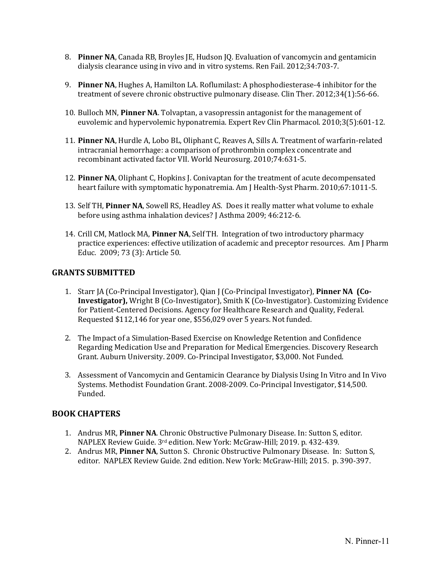- 8. **Pinner NA**, Canada RB, Broyles JE, Hudson JQ. Evaluation of vancomycin and gentamicin dialysis clearance using in vivo and in vitro systems. Ren Fail. 2012;34:703-7.
- 9. **Pinner NA**, Hughes A, Hamilton LA. Roflumilast: A phosphodiesterase-4 inhibitor for the treatment of severe chronic obstructive pulmonary disease. Clin Ther. 2012;34(1):56-66.
- 10. Bulloch MN, **Pinner NA**. Tolvaptan, a vasopressin antagonist for the management of euvolemic and hypervolemic hyponatremia. Expert Rev Clin Pharmacol. 2010;3(5):601-12.
- 11. **Pinner NA**, Hurdle A, Lobo BL, Oliphant C, Reaves A, Sills A. Treatment of warfarin-related intracranial hemorrhage: a comparison of prothrombin complex concentrate and recombinant activated factor VII. World Neurosurg. 2010;74:631-5.
- 12. **Pinner NA**, Oliphant C, Hopkins J. Conivaptan for the treatment of acute decompensated heart failure with symptomatic hyponatremia. Am J Health-Syst Pharm. 2010;67:1011-5.
- 13. Self TH, **Pinner NA**, Sowell RS, Headley AS. Does it really matter what volume to exhale before using asthma inhalation devices? J Asthma 2009; 46:212-6.
- 14. Crill CM, Matlock MA, **Pinner NA**, Self TH. Integration of two introductory pharmacy practice experiences: effective utilization of academic and preceptor resources. Am J Pharm Educ. 2009; 73 (3): Article 50.

#### **GRANTS SUBMITTED**

- 1. Starr JA (Co-Principal Investigator), Qian J (Co-Principal Investigator), **Pinner NA (Co-Investigator),** Wright B (Co-Investigator), Smith K (Co-Investigator). Customizing Evidence for Patient-Centered Decisions. Agency for Healthcare Research and Quality, Federal. Requested \$112,146 for year one, \$556,029 over 5 years. Not funded.
- 2. The Impact of a Simulation-Based Exercise on Knowledge Retention and Confidence Regarding Medication Use and Preparation for Medical Emergencies. Discovery Research Grant. Auburn University. 2009. Co-Principal Investigator, \$3,000. Not Funded.
- 3. Assessment of Vancomycin and Gentamicin Clearance by Dialysis Using In Vitro and In Vivo Systems. Methodist Foundation Grant. 2008-2009. Co-Principal Investigator, \$14,500. Funded.

## **BOOK CHAPTERS**

- 1. Andrus MR, **Pinner NA**. Chronic Obstructive Pulmonary Disease. In: Sutton S, editor. NAPLEX Review Guide. 3rd edition. New York: McGraw-Hill; 2019. p. 432-439.
- 2. Andrus MR, **Pinner NA**, Sutton S. Chronic Obstructive Pulmonary Disease. In: Sutton S, editor. NAPLEX Review Guide. 2nd edition. New York: McGraw-Hill; 2015. p. 390-397.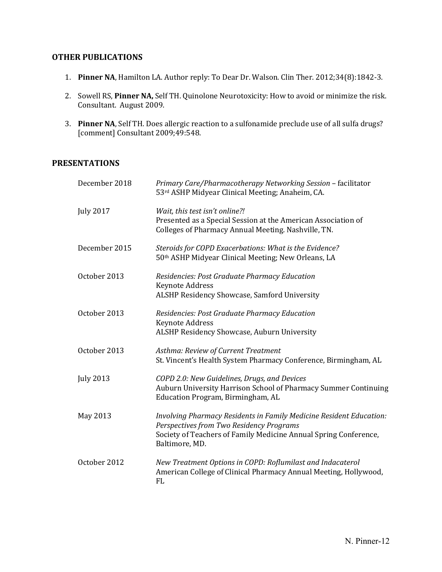#### **OTHER PUBLICATIONS**

- 1. **Pinner NA**, Hamilton LA. Author reply: To Dear Dr. Walson. Clin Ther. 2012;34(8):1842-3.
- 2. Sowell RS, **Pinner NA,** Self TH. Quinolone Neurotoxicity: How to avoid or minimize the risk. Consultant. August 2009.
- 3. **Pinner NA**, Self TH. Does allergic reaction to a sulfonamide preclude use of all sulfa drugs? [comment] Consultant 2009;49:548.

## **PRESENTATIONS**

| December 2018    | Primary Care/Pharmacotherapy Networking Session - facilitator<br>53rd ASHP Midyear Clinical Meeting; Anaheim, CA.                                                                                     |
|------------------|-------------------------------------------------------------------------------------------------------------------------------------------------------------------------------------------------------|
| <b>July 2017</b> | Wait, this test isn't online?!<br>Presented as a Special Session at the American Association of<br>Colleges of Pharmacy Annual Meeting. Nashville, TN.                                                |
| December 2015    | Steroids for COPD Exacerbations: What is the Evidence?<br>50th ASHP Midyear Clinical Meeting; New Orleans, LA                                                                                         |
| October 2013     | Residencies: Post Graduate Pharmacy Education<br>Keynote Address<br>ALSHP Residency Showcase, Samford University                                                                                      |
| October 2013     | Residencies: Post Graduate Pharmacy Education<br><b>Keynote Address</b><br>ALSHP Residency Showcase, Auburn University                                                                                |
| October 2013     | Asthma: Review of Current Treatment<br>St. Vincent's Health System Pharmacy Conference, Birmingham, AL                                                                                                |
| <b>July 2013</b> | COPD 2.0: New Guidelines, Drugs, and Devices<br>Auburn University Harrison School of Pharmacy Summer Continuing<br>Education Program, Birmingham, AL                                                  |
| May 2013         | Involving Pharmacy Residents in Family Medicine Resident Education:<br>Perspectives from Two Residency Programs<br>Society of Teachers of Family Medicine Annual Spring Conference,<br>Baltimore, MD. |
| October 2012     | New Treatment Options in COPD: Roflumilast and Indacaterol<br>American College of Clinical Pharmacy Annual Meeting, Hollywood,<br>FL                                                                  |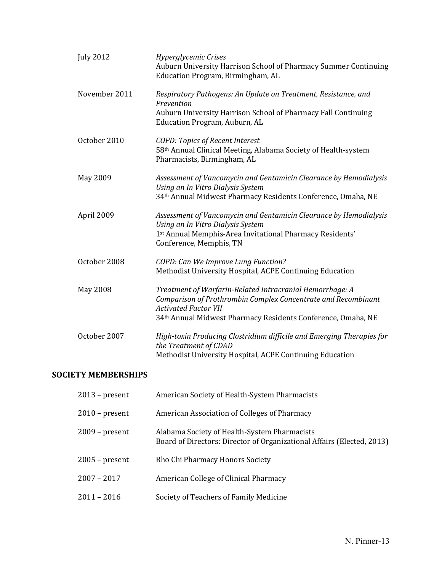| <b>July 2012</b> | Hyperglycemic Crises<br>Auburn University Harrison School of Pharmacy Summer Continuing<br>Education Program, Birmingham, AL                                                                                             |
|------------------|--------------------------------------------------------------------------------------------------------------------------------------------------------------------------------------------------------------------------|
| November 2011    | Respiratory Pathogens: An Update on Treatment, Resistance, and<br>Prevention<br>Auburn University Harrison School of Pharmacy Fall Continuing<br>Education Program, Auburn, AL                                           |
| October 2010     | <b>COPD: Topics of Recent Interest</b><br>58th Annual Clinical Meeting, Alabama Society of Health-system<br>Pharmacists, Birmingham, AL                                                                                  |
| May 2009         | Assessment of Vancomycin and Gentamicin Clearance by Hemodialysis<br>Using an In Vitro Dialysis System<br>34th Annual Midwest Pharmacy Residents Conference, Omaha, NE                                                   |
| April 2009       | Assessment of Vancomycin and Gentamicin Clearance by Hemodialysis<br>Using an In Vitro Dialysis System<br>1st Annual Memphis-Area Invitational Pharmacy Residents'<br>Conference, Memphis, TN                            |
| October 2008     | COPD: Can We Improve Lung Function?<br>Methodist University Hospital, ACPE Continuing Education                                                                                                                          |
| May 2008         | Treatment of Warfarin-Related Intracranial Hemorrhage: A<br>Comparison of Prothrombin Complex Concentrate and Recombinant<br><b>Activated Factor VII</b><br>34th Annual Midwest Pharmacy Residents Conference, Omaha, NE |
| October 2007     | High-toxin Producing Clostridium difficile and Emerging Therapies for<br>the Treatment of CDAD<br>Methodist University Hospital, ACPE Continuing Education                                                               |

## **SOCIETY MEMBERSHIPS**

| $2013$ – present | American Society of Health-System Pharmacists                                                                          |
|------------------|------------------------------------------------------------------------------------------------------------------------|
| $2010$ – present | American Association of Colleges of Pharmacy                                                                           |
| $2009$ – present | Alabama Society of Health-System Pharmacists<br>Board of Directors: Director of Organizational Affairs (Elected, 2013) |
| $2005$ – present | Rho Chi Pharmacy Honors Society                                                                                        |
| $2007 - 2017$    | American College of Clinical Pharmacy                                                                                  |
| $2011 - 2016$    | Society of Teachers of Family Medicine                                                                                 |